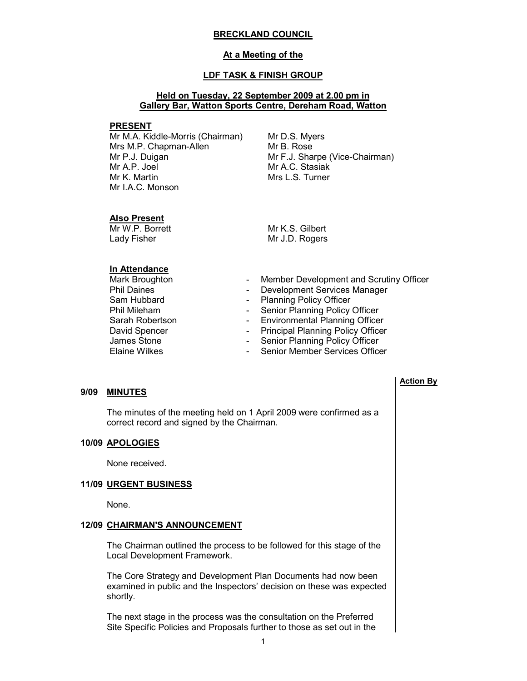#### BRECKLAND COUNCIL

#### At a Meeting of the

### LDF TASK & FINISH GROUP

### Held on Tuesday, 22 September 2009 at 2.00 pm in Gallery Bar, Watton Sports Centre, Dereham Road, Watton

#### PRESENT

Mr M.A. Kiddle-Morris (Chairman) Mrs M.P. Chapman-Allen Mr P.J. Duigan Mr A.P. Joel Mr K. Martin Mr I.A.C. Monson

Mr D.S. Myers Mr B. Rose Mr F.J. Sharpe (Vice-Chairman) Mr A.C. Stasiak Mrs L.S. Turner

#### Also Present

Mr W.P. Borrett Lady Fisher

Mr K.S. Gilbert Mr J.D. Rogers

## In Attendance

- Phil Daines<br>
Sam Hubbard<br>
Sam Hubbard<br>
Flanning Policy Officer James Stone - Senior Planning Policy Officer<br>Flaine Wilkes - Senior Member Services Office
- Mark Broughton  **Member Development and Scrutiny Officer**<br>
Phil Daines<br>
Phil Daines
	-
	- Planning Policy Officer
- Phil Mileham Senior Planning Policy Officer
- Sarah Robertson  **Environmental Planning Officer**
- David Spencer  **Principal Planning Policy Officer** 
	-
	- Senior Member Services Officer

#### 9/09 MINUTES

 The minutes of the meeting held on 1 April 2009 were confirmed as a correct record and signed by the Chairman.

#### 10/09 APOLOGIES

None received.

#### 11/09 URGENT BUSINESS

None.

#### 12/09 CHAIRMAN'S ANNOUNCEMENT

 The Chairman outlined the process to be followed for this stage of the Local Development Framework.

The Core Strategy and Development Plan Documents had now been examined in public and the Inspectors' decision on these was expected shortly.

The next stage in the process was the consultation on the Preferred Site Specific Policies and Proposals further to those as set out in the

#### Action By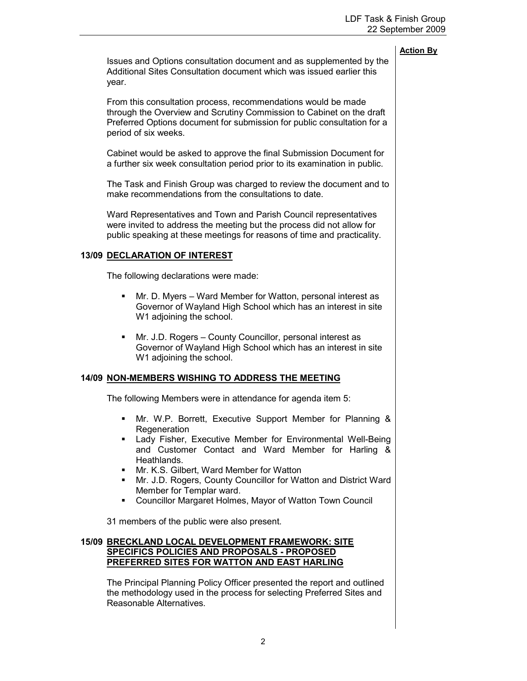| Action Bv |  |
|-----------|--|
|           |  |

Issues and Options consultation document and as supplemented by the Additional Sites Consultation document which was issued earlier this year.

From this consultation process, recommendations would be made through the Overview and Scrutiny Commission to Cabinet on the draft Preferred Options document for submission for public consultation for a period of six weeks.

Cabinet would be asked to approve the final Submission Document for a further six week consultation period prior to its examination in public.

The Task and Finish Group was charged to review the document and to make recommendations from the consultations to date.

Ward Representatives and Town and Parish Council representatives were invited to address the meeting but the process did not allow for public speaking at these meetings for reasons of time and practicality.

## 13/09 DECLARATION OF INTEREST

The following declarations were made:

- Mr. D. Myers Ward Member for Watton, personal interest as Governor of Wayland High School which has an interest in site W1 adjoining the school.
- Mr. J.D. Rogers County Councillor, personal interest as Governor of Wayland High School which has an interest in site W<sub>1</sub> adjoining the school.

## 14/09 NON-MEMBERS WISHING TO ADDRESS THE MEETING

The following Members were in attendance for agenda item 5:

- § Mr. W.P. Borrett, Executive Support Member for Planning & Regeneration
- Lady Fisher, Executive Member for Environmental Well-Being and Customer Contact and Ward Member for Harling & Heathlands.
- Mr. K.S. Gilbert, Ward Member for Watton
- Mr. J.D. Rogers, County Councillor for Watton and District Ward Member for Templar ward.
- Councillor Margaret Holmes, Mayor of Watton Town Council

31 members of the public were also present.

## 15/09 BRECKLAND LOCAL DEVELOPMENT FRAMEWORK: SITE SPECIFICS POLICIES AND PROPOSALS - PROPOSED PREFERRED SITES FOR WATTON AND EAST HARLING

 The Principal Planning Policy Officer presented the report and outlined the methodology used in the process for selecting Preferred Sites and Reasonable Alternatives.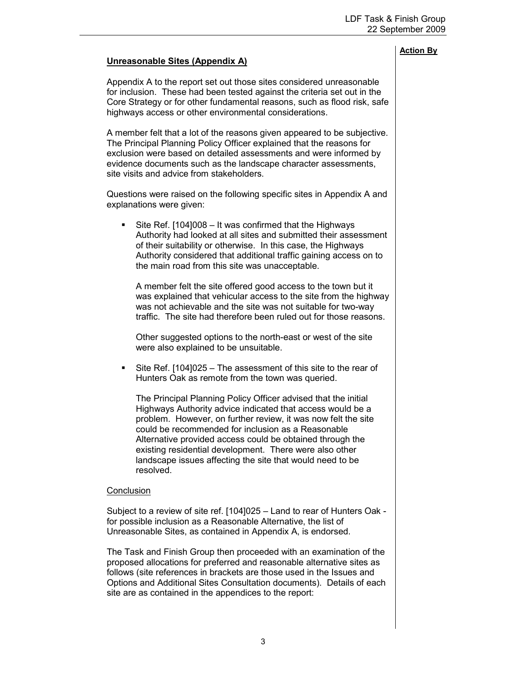# Unreasonable Sites (Appendix A)

Appendix A to the report set out those sites considered unreasonable for inclusion. These had been tested against the criteria set out in the Core Strategy or for other fundamental reasons, such as flood risk, safe highways access or other environmental considerations.

A member felt that a lot of the reasons given appeared to be subjective. The Principal Planning Policy Officer explained that the reasons for exclusion were based on detailed assessments and were informed by evidence documents such as the landscape character assessments, site visits and advice from stakeholders.

Questions were raised on the following specific sites in Appendix A and explanations were given:

• Site Ref. [104]008 – It was confirmed that the Highways Authority had looked at all sites and submitted their assessment of their suitability or otherwise. In this case, the Highways Authority considered that additional traffic gaining access on to the main road from this site was unacceptable.

A member felt the site offered good access to the town but it was explained that vehicular access to the site from the highway was not achievable and the site was not suitable for two-way traffic. The site had therefore been ruled out for those reasons.

Other suggested options to the north-east or west of the site were also explained to be unsuitable.

■ Site Ref. [104]025 – The assessment of this site to the rear of Hunters Oak as remote from the town was queried.

The Principal Planning Policy Officer advised that the initial Highways Authority advice indicated that access would be a problem. However, on further review, it was now felt the site could be recommended for inclusion as a Reasonable Alternative provided access could be obtained through the existing residential development. There were also other landscape issues affecting the site that would need to be resolved.

#### **Conclusion**

Subject to a review of site ref. [104]025 – Land to rear of Hunters Oak for possible inclusion as a Reasonable Alternative, the list of Unreasonable Sites, as contained in Appendix A, is endorsed.

The Task and Finish Group then proceeded with an examination of the proposed allocations for preferred and reasonable alternative sites as follows (site references in brackets are those used in the Issues and Options and Additional Sites Consultation documents). Details of each site are as contained in the appendices to the report: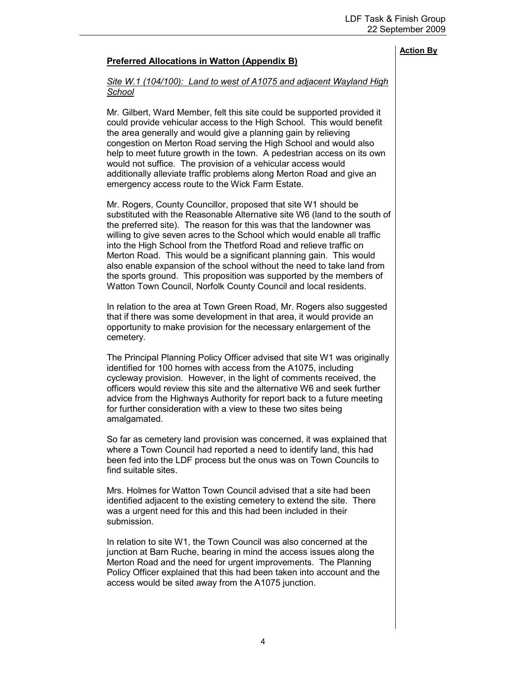# Preferred Allocations in Watton (Appendix B)

## Site W.1 (104/100): Land to west of A1075 and adjacent Wayland High **School**

Mr. Gilbert, Ward Member, felt this site could be supported provided it could provide vehicular access to the High School. This would benefit the area generally and would give a planning gain by relieving congestion on Merton Road serving the High School and would also help to meet future growth in the town. A pedestrian access on its own would not suffice. The provision of a vehicular access would additionally alleviate traffic problems along Merton Road and give an emergency access route to the Wick Farm Estate.

Mr. Rogers, County Councillor, proposed that site W1 should be substituted with the Reasonable Alternative site W6 (land to the south of the preferred site). The reason for this was that the landowner was willing to give seven acres to the School which would enable all traffic into the High School from the Thetford Road and relieve traffic on Merton Road. This would be a significant planning gain. This would also enable expansion of the school without the need to take land from the sports ground. This proposition was supported by the members of Watton Town Council, Norfolk County Council and local residents.

In relation to the area at Town Green Road, Mr. Rogers also suggested that if there was some development in that area, it would provide an opportunity to make provision for the necessary enlargement of the cemetery.

The Principal Planning Policy Officer advised that site W1 was originally identified for 100 homes with access from the A1075, including cycleway provision. However, in the light of comments received, the officers would review this site and the alternative W6 and seek further advice from the Highways Authority for report back to a future meeting for further consideration with a view to these two sites being amalgamated.

So far as cemetery land provision was concerned, it was explained that where a Town Council had reported a need to identify land, this had been fed into the LDF process but the onus was on Town Councils to find suitable sites.

Mrs. Holmes for Watton Town Council advised that a site had been identified adjacent to the existing cemetery to extend the site. There was a urgent need for this and this had been included in their submission.

In relation to site W1, the Town Council was also concerned at the junction at Barn Ruche, bearing in mind the access issues along the Merton Road and the need for urgent improvements. The Planning Policy Officer explained that this had been taken into account and the access would be sited away from the A1075 junction.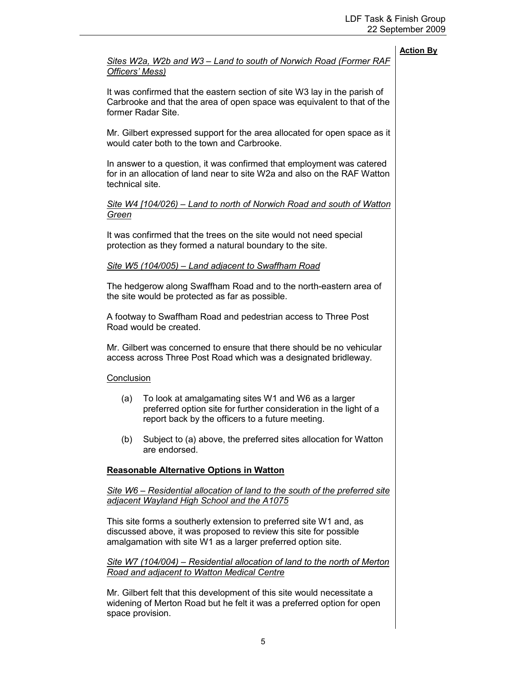|                                                                                                                                                                      |                                                                                                                                                                                                         | <b>Action By</b> |  |
|----------------------------------------------------------------------------------------------------------------------------------------------------------------------|---------------------------------------------------------------------------------------------------------------------------------------------------------------------------------------------------------|------------------|--|
| Officers' Mess)                                                                                                                                                      | Sites W2a, W2b and W3 - Land to south of Norwich Road (Former RAF                                                                                                                                       |                  |  |
|                                                                                                                                                                      | It was confirmed that the eastern section of site W3 lay in the parish of<br>Carbrooke and that the area of open space was equivalent to that of the<br>former Radar Site.                              |                  |  |
|                                                                                                                                                                      | Mr. Gilbert expressed support for the area allocated for open space as it<br>would cater both to the town and Carbrooke.                                                                                |                  |  |
| In answer to a question, it was confirmed that employment was catered<br>for in an allocation of land near to site W2a and also on the RAF Watton<br>technical site. |                                                                                                                                                                                                         |                  |  |
| Green                                                                                                                                                                | Site W4 [104/026) – Land to north of Norwich Road and south of Watton                                                                                                                                   |                  |  |
|                                                                                                                                                                      | It was confirmed that the trees on the site would not need special<br>protection as they formed a natural boundary to the site.                                                                         |                  |  |
|                                                                                                                                                                      | Site W5 (104/005) - Land adjacent to Swaffham Road                                                                                                                                                      |                  |  |
|                                                                                                                                                                      | The hedgerow along Swaffham Road and to the north-eastern area of<br>the site would be protected as far as possible.                                                                                    |                  |  |
|                                                                                                                                                                      | A footway to Swaffham Road and pedestrian access to Three Post<br>Road would be created.                                                                                                                |                  |  |
|                                                                                                                                                                      | Mr. Gilbert was concerned to ensure that there should be no vehicular<br>access across Three Post Road which was a designated bridleway.                                                                |                  |  |
| Conclusion                                                                                                                                                           |                                                                                                                                                                                                         |                  |  |
| (a)                                                                                                                                                                  | To look at amalgamating sites W1 and W6 as a larger<br>preferred option site for further consideration in the light of a<br>report back by the officers to a future meeting.                            |                  |  |
| (b)                                                                                                                                                                  | Subject to (a) above, the preferred sites allocation for Watton<br>are endorsed.                                                                                                                        |                  |  |
|                                                                                                                                                                      | <b>Reasonable Alternative Options in Watton</b>                                                                                                                                                         |                  |  |
|                                                                                                                                                                      | <u>Site W6 – Residential allocation of land to the south of the preferred site</u><br>adjacent Wayland High School and the A1075                                                                        |                  |  |
|                                                                                                                                                                      | This site forms a southerly extension to preferred site W1 and, as<br>discussed above, it was proposed to review this site for possible<br>amalgamation with site W1 as a larger preferred option site. |                  |  |
| Site W7 (104/004) – Residential allocation of land to the north of Merton<br>Road and adjacent to Watton Medical Centre                                              |                                                                                                                                                                                                         |                  |  |
|                                                                                                                                                                      | Mr. Gilbert felt that this development of this site would necessitate a<br>widening of Merton Road but he felt it was a preferred option for open<br>space provision.                                   |                  |  |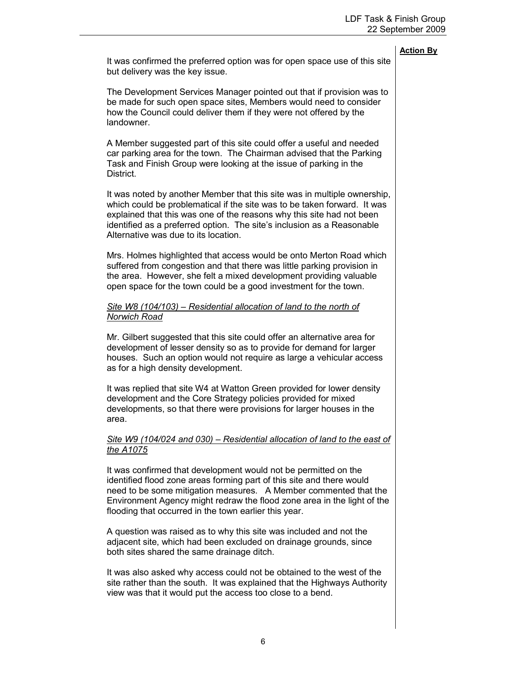# It was confirmed the preferred option was for open space use of this site but delivery was the key issue. The Development Services Manager pointed out that if provision was to be made for such open space sites, Members would need to consider how the Council could deliver them if they were not offered by the landowner. A Member suggested part of this site could offer a useful and needed car parking area for the town. The Chairman advised that the Parking Task and Finish Group were looking at the issue of parking in the District. It was noted by another Member that this site was in multiple ownership, which could be problematical if the site was to be taken forward. It was explained that this was one of the reasons why this site had not been identified as a preferred option. The site's inclusion as a Reasonable Alternative was due to its location. Mrs. Holmes highlighted that access would be onto Merton Road which suffered from congestion and that there was little parking provision in the area. However, she felt a mixed development providing valuable open space for the town could be a good investment for the town.

## Site W8 (104/103) – Residential allocation of land to the north of Norwich Road

Mr. Gilbert suggested that this site could offer an alternative area for development of lesser density so as to provide for demand for larger houses. Such an option would not require as large a vehicular access as for a high density development.

It was replied that site W4 at Watton Green provided for lower density development and the Core Strategy policies provided for mixed developments, so that there were provisions for larger houses in the area.

## Site W9 (104/024 and 030) – Residential allocation of land to the east of the A1075

It was confirmed that development would not be permitted on the identified flood zone areas forming part of this site and there would need to be some mitigation measures. A Member commented that the Environment Agency might redraw the flood zone area in the light of the flooding that occurred in the town earlier this year.

A question was raised as to why this site was included and not the adjacent site, which had been excluded on drainage grounds, since both sites shared the same drainage ditch.

It was also asked why access could not be obtained to the west of the site rather than the south. It was explained that the Highways Authority view was that it would put the access too close to a bend.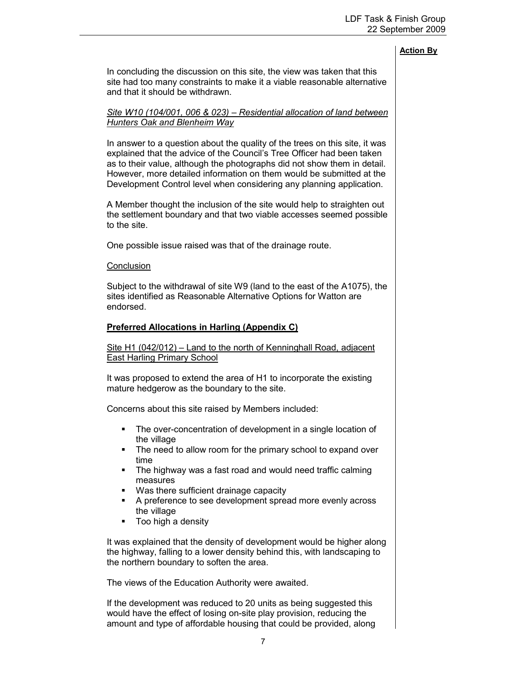In concluding the discussion on this site, the view was taken that this site had too many constraints to make it a viable reasonable alternative and that it should be withdrawn.

### Site W10 (104/001, 006 & 023) – Residential allocation of land between Hunters Oak and Blenheim Way

In answer to a question about the quality of the trees on this site, it was explained that the advice of the Council's Tree Officer had been taken as to their value, although the photographs did not show them in detail. However, more detailed information on them would be submitted at the Development Control level when considering any planning application.

A Member thought the inclusion of the site would help to straighten out the settlement boundary and that two viable accesses seemed possible to the site.

One possible issue raised was that of the drainage route.

#### **Conclusion**

Subject to the withdrawal of site W9 (land to the east of the A1075), the sites identified as Reasonable Alternative Options for Watton are endorsed.

## Preferred Allocations in Harling (Appendix C)

## Site H1 (042/012) – Land to the north of Kenninghall Road, adjacent East Harling Primary School

It was proposed to extend the area of H1 to incorporate the existing mature hedgerow as the boundary to the site.

Concerns about this site raised by Members included:

- **The over-concentration of development in a single location of** the village
- The need to allow room for the primary school to expand over time
- The highway was a fast road and would need traffic calming measures
- § Was there sufficient drainage capacity
- A preference to see development spread more evenly across the village
- Too high a density

It was explained that the density of development would be higher along the highway, falling to a lower density behind this, with landscaping to the northern boundary to soften the area.

The views of the Education Authority were awaited.

If the development was reduced to 20 units as being suggested this would have the effect of losing on-site play provision, reducing the amount and type of affordable housing that could be provided, along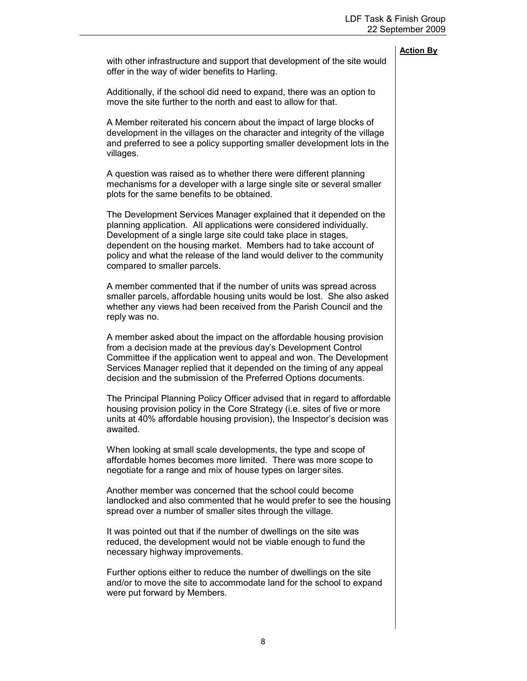|                                                                                                                                                                                                                                                                                                                                                                                           | <b>Action By</b> |
|-------------------------------------------------------------------------------------------------------------------------------------------------------------------------------------------------------------------------------------------------------------------------------------------------------------------------------------------------------------------------------------------|------------------|
| with other infrastructure and support that development of the site would<br>offer in the way of wider benefits to Harling.                                                                                                                                                                                                                                                                |                  |
| Additionally, if the school did need to expand, there was an option to<br>move the site further to the north and east to allow for that.                                                                                                                                                                                                                                                  |                  |
| A Member reiterated his concern about the impact of large blocks of<br>development in the villages on the character and integrity of the village<br>and preferred to see a policy supporting smaller development lots in the<br>villages.                                                                                                                                                 |                  |
| A question was raised as to whether there were different planning<br>mechanisms for a developer with a large single site or several smaller<br>plots for the same benefits to be obtained.                                                                                                                                                                                                |                  |
| The Development Services Manager explained that it depended on the<br>planning application. All applications were considered individually.<br>Development of a single large site could take place in stages,<br>dependent on the housing market. Members had to take account of<br>policy and what the release of the land would deliver to the community<br>compared to smaller parcels. |                  |
| A member commented that if the number of units was spread across<br>smaller parcels, affordable housing units would be lost. She also asked<br>whether any views had been received from the Parish Council and the<br>reply was no.                                                                                                                                                       |                  |
| A member asked about the impact on the affordable housing provision<br>from a decision made at the previous day's Development Control<br>Committee if the application went to appeal and won. The Development<br>Services Manager replied that it depended on the timing of any appeal<br>decision and the submission of the Preferred Options documents.                                 |                  |
| The Principal Planning Policy Officer advised that in regard to affordable<br>housing provision policy in the Core Strategy (i.e. sites of five or more<br>units at 40% affordable housing provision), the Inspector's decision was<br>awaited                                                                                                                                            |                  |
| When looking at small scale developments, the type and scope of<br>affordable homes becomes more limited. There was more scope to<br>negotiate for a range and mix of house types on larger sites.                                                                                                                                                                                        |                  |
| Another member was concerned that the school could become<br>landlocked and also commented that he would prefer to see the housing<br>spread over a number of smaller sites through the village.                                                                                                                                                                                          |                  |
| It was pointed out that if the number of dwellings on the site was<br>reduced, the development would not be viable enough to fund the<br>necessary highway improvements.                                                                                                                                                                                                                  |                  |
| Further options either to reduce the number of dwellings on the site<br>and/or to move the site to accommodate land for the school to expand<br>were put forward by Members.                                                                                                                                                                                                              |                  |
|                                                                                                                                                                                                                                                                                                                                                                                           |                  |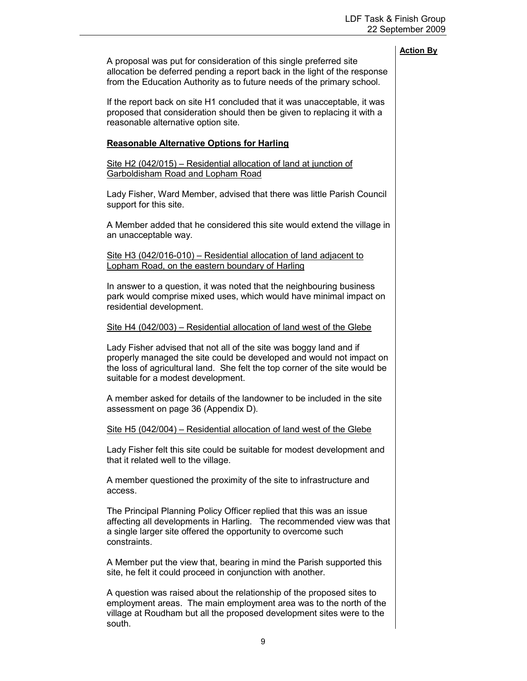A proposal was put for consideration of this single preferred site allocation be deferred pending a report back in the light of the response from the Education Authority as to future needs of the primary school.

If the report back on site H1 concluded that it was unacceptable, it was proposed that consideration should then be given to replacing it with a reasonable alternative option site.

#### Reasonable Alternative Options for Harling

Site H2 (042/015) – Residential allocation of land at junction of Garboldisham Road and Lopham Road

Lady Fisher, Ward Member, advised that there was little Parish Council support for this site.

A Member added that he considered this site would extend the village in an unacceptable way.

Site H3 (042/016-010) – Residential allocation of land adjacent to Lopham Road, on the eastern boundary of Harling

In answer to a question, it was noted that the neighbouring business park would comprise mixed uses, which would have minimal impact on residential development.

#### Site H4 (042/003) – Residential allocation of land west of the Glebe

Lady Fisher advised that not all of the site was boggy land and if properly managed the site could be developed and would not impact on the loss of agricultural land. She felt the top corner of the site would be suitable for a modest development.

A member asked for details of the landowner to be included in the site assessment on page 36 (Appendix D).

Site H5 (042/004) – Residential allocation of land west of the Glebe

Lady Fisher felt this site could be suitable for modest development and that it related well to the village.

A member questioned the proximity of the site to infrastructure and access.

The Principal Planning Policy Officer replied that this was an issue affecting all developments in Harling. The recommended view was that a single larger site offered the opportunity to overcome such constraints.

A Member put the view that, bearing in mind the Parish supported this site, he felt it could proceed in conjunction with another.

A question was raised about the relationship of the proposed sites to employment areas. The main employment area was to the north of the village at Roudham but all the proposed development sites were to the south.